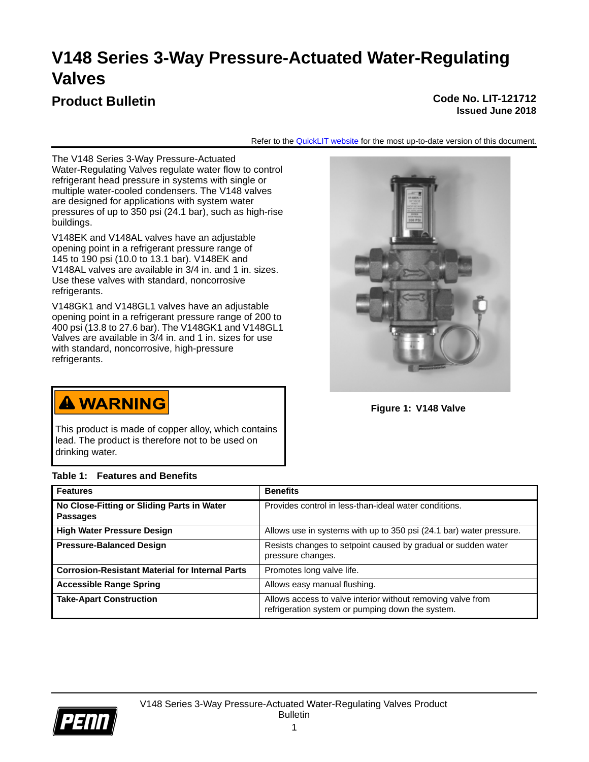# **V148 Series 3-Way Pressure-Actuated Water-Regulating Valves**

## **Product Bulletin Code No. LIT-121712**

# **Issued June 2018**

Refer to the [QuickLIT website](http://cgproducts.johnsoncontrols.com/default.aspx) for the most up-to-date version of this document.

The V148 Series 3-Way Pressure-Actuated Water-Regulating Valves regulate water flow to control refrigerant head pressure in systems with single or multiple water-cooled condensers. The V148 valves are designed for applications with system water pressures of up to 350 psi (24.1 bar), such as high-rise buildings.

V148EK and V148AL valves have an adjustable opening point in a refrigerant pressure range of 145 to 190 psi (10.0 to 13.1 bar). V148EK and V148AL valves are available in 3/4 in. and 1 in. sizes. Use these valves with standard, noncorrosive refrigerants.

V148GK1 and V148GL1 valves have an adjustable opening point in a refrigerant pressure range of 200 to 400 psi (13.8 to 27.6 bar). The V148GK1 and V148GL1 Valves are available in 3/4 in. and 1 in. sizes for use with standard, noncorrosive, high-pressure refrigerants.



**Figure 1: V148 Valve**

**A WARNING** 

This product is made of copper alloy, which contains lead. The product is therefore not to be used on drinking water.

## **Table 1: Features and Benefits**

| <b>Features</b>                                               | <b>Benefits</b>                                                                                                 |
|---------------------------------------------------------------|-----------------------------------------------------------------------------------------------------------------|
| No Close-Fitting or Sliding Parts in Water<br><b>Passages</b> | Provides control in less-than-ideal water conditions.                                                           |
| <b>High Water Pressure Design</b>                             | Allows use in systems with up to 350 psi (24.1 bar) water pressure.                                             |
| <b>Pressure-Balanced Design</b>                               | Resists changes to setpoint caused by gradual or sudden water<br>pressure changes.                              |
| <b>Corrosion-Resistant Material for Internal Parts</b>        | Promotes long valve life.                                                                                       |
| <b>Accessible Range Spring</b>                                | Allows easy manual flushing.                                                                                    |
| <b>Take-Apart Construction</b>                                | Allows access to valve interior without removing valve from<br>refrigeration system or pumping down the system. |

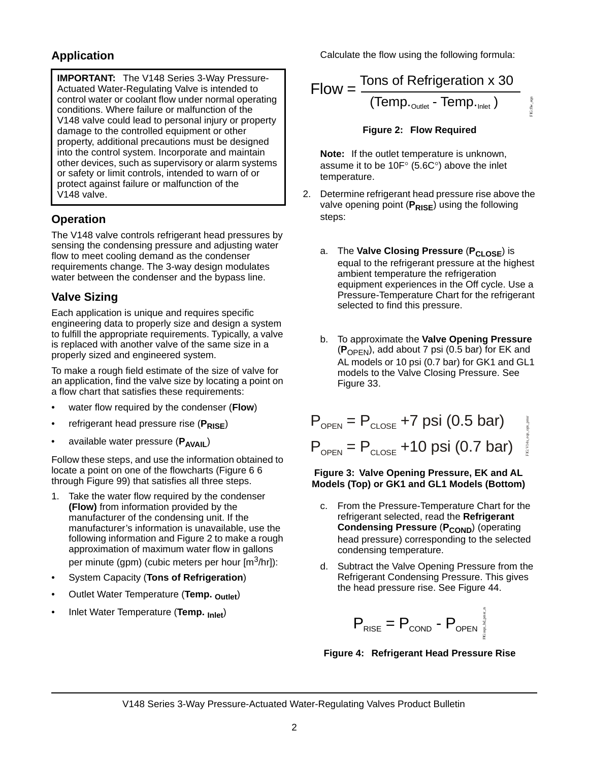## **Application**

**IMPORTANT:** The V148 Series 3-Way Pressure-Actuated Water-Regulating Valve is intended to control water or coolant flow under normal operating conditions. Where failure or malfunction of the V148 valve could lead to personal injury or property damage to the controlled equipment or other property, additional precautions must be designed into the control system. Incorporate and maintain other devices, such as supervisory or alarm systems or safety or limit controls, intended to warn of or protect against failure or malfunction of the V148 valve.

## **Operation**

The V148 valve controls refrigerant head pressures by sensing the condensing pressure and adjusting water flow to meet cooling demand as the condenser requirements change. The 3-way design modulates water between the condenser and the bypass line.

## **Valve Sizing**

Each application is unique and requires specific engineering data to properly size and design a system to fulfill the appropriate requirements. Typically, a valve is replaced with another valve of the same size in a properly sized and engineered system.

To make a rough field estimate of the size of valve for an application, find the valve size by locating a point on a flow chart that satisfies these requirements:

- water flow required by the condenser (**Flow**)
- refrigerant head pressure rise (P<sub>RISE</sub>)
- available water pressure (P<sub>AVAIL</sub>)

Follow these steps, and use the information obtained to locate a point on one of the flowcharts ([Figure 6](#page-3-0) 6 through [Figure 99](#page-4-0)) that satisfies all three steps.

- 1. Take the water flow required by the condenser **(Flow)** from information provided by the manufacturer of the condensing unit. If the manufacturer's information is unavailable, use the following information and [Figure 2](#page-1-0) to make a rough approximation of maximum water flow in gallons per minute (gpm) (cubic meters per hour [m<sup>3</sup>/hr]):
- System Capacity (**Tons of Refrigeration**)
- Outlet Water Temperature (**Temp. Outlet**)
- Inlet Water Temperature (**Temp. Inlet**)

Calculate the flow using the following formula:

Flow = 
$$
\frac{\text{Tons of Refrigeration x 30}}{(\text{Temp.}_{\text{Outlet}} - \text{Temp.}_{\text{Inlet}})}
$$

## **Figure 2: Flow Required**

FIG:flw\_eqn

FIG:flw

<span id="page-1-0"></span>**Note:** If the outlet temperature is unknown, assume it to be  $10F^{\circ}$  (5.6C°) above the inlet temperature.

- 2. Determine refrigerant head pressure rise above the valve opening point (P<sub>RISE</sub>) using the following steps:
	- a. The **Valve Closing Pressure** (P<sub>CLOSE</sub>) is equal to the refrigerant pressure at the highest ambient temperature the refrigeration equipment experiences in the Off cycle. Use a Pressure-Temperature Chart for the refrigerant selected to find this pressure.
	- b. To approximate the **Valve Opening Pressure**  (**P**OPEN), add about 7 psi (0.5 bar) for EK and AL models or 10 psi (0.7 bar) for GK1 and GL1 models to the Valve Closing Pressure. See [Figure 33](#page-1-1).

| $P_{\text{OPEN}} = P_{\text{CLOSE}} + 7 \text{ psi} (0.5 \text{ bar})$                | asu <sup>T</sup> udo |
|---------------------------------------------------------------------------------------|----------------------|
| $P_{\text{open}} = P_{\text{close}} + 10 \text{ psi} (0.7 \text{ bar})^{\frac{3}{2}}$ |                      |

#### <span id="page-1-1"></span>**Figure 3: Valve Opening Pressure, EK and AL Models (Top) or GK1 and GL1 Models (Bottom)**

- c. From the Pressure-Temperature Chart for the refrigerant selected, read the **Refrigerant Condensing Pressure (P<sub>COND</sub>) (operating** head pressure) corresponding to the selected condensing temperature.
- Subtract the Valve Opening Pressure from the Refrigerant Condensing Pressure. This gives the head pressure rise. See [Figure 4](#page-1-2)4.

$$
\mathsf{P}_{\text{RISE}} = \mathsf{P}_{\text{COND}} - \mathsf{P}_{\text{OPEN}}^{\text{PQ}} \mathsf{P}_{\text{QPEN}}^{\text{PQ}}
$$

<span id="page-1-2"></span>**Figure 4: Refrigerant Head Pressure Rise**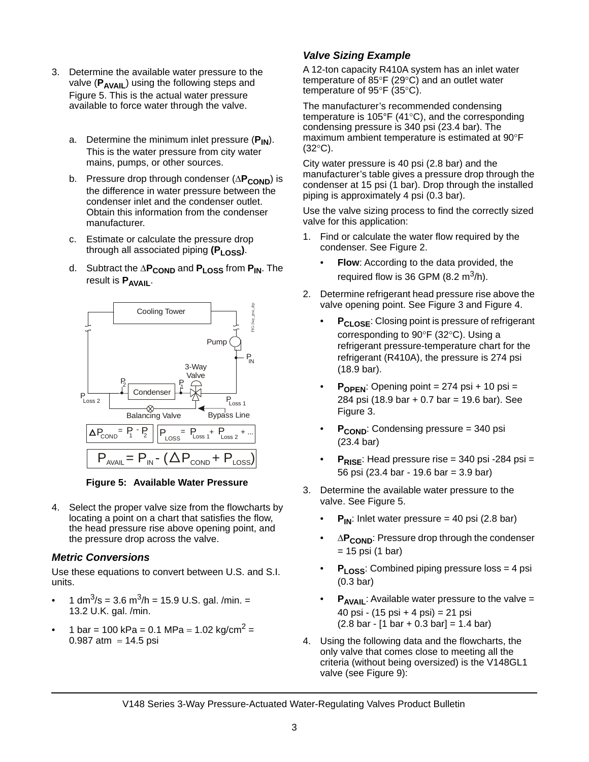- 3. Determine the available water pressure to the valve (P<sub>AVAIL</sub>) using the following steps and [Figure 5](#page-2-0). This is the actual water pressure available to force water through the valve.
	- a. Determine the minimum inlet pressure (P<sub>IN</sub>). This is the water pressure from city water mains, pumps, or other sources.
	- b. Pressure drop through condenser ( $\Delta P_{\text{COMP}}$ ) is the difference in water pressure between the condenser inlet and the condenser outlet. Obtain this information from the condenser manufacturer.
	- c. Estimate or calculate the pressure drop through all associated piping (P<sub>LOSS</sub>).
	- d. Subtract the  $\Delta P_{\text{COMP}}$  and  $P_{\text{LOS}}$  from  $P_{\text{IN}}$ . The result is **P<sub>AVAIL</sub>**.



**Figure 5: Available Water Pressure**

<span id="page-2-0"></span>4. Select the proper valve size from the flowcharts by locating a point on a chart that satisfies the flow, the head pressure rise above opening point, and the pressure drop across the valve.

## *Metric Conversions*

Use these equations to convert between U.S. and S.I. units.

- 1 dm<sup>3</sup>/s = 3.6 m<sup>3</sup>/h = 15.9 U.S. gal. /min. = 13.2 U.K. gal. /min.
- 1 bar = 100 kPa = 0.1 MPa = 1.02 kg/cm<sup>2</sup> =  $0.987$  atm = 14.5 psi

## *Valve Sizing Example*

A 12-ton capacity R410A system has an inlet water temperature of  $85^{\circ}F(29^{\circ}C)$  and an outlet water temperature of  $95^{\circ}F(35^{\circ}C)$ .

The manufacturer's recommended condensing temperature is 105 $\degree$ F (41 $\degree$ C), and the corresponding condensing pressure is 340 psi (23.4 bar). The maximum ambient temperature is estimated at 90°F  $(32^{\circ}C)$ .

City water pressure is 40 psi (2.8 bar) and the manufacturer's table gives a pressure drop through the condenser at 15 psi (1 bar). Drop through the installed piping is approximately 4 psi (0.3 bar).

Use the valve sizing process to find the correctly sized valve for this application:

- 1. Find or calculate the water flow required by the condenser. See [Figure 2.](#page-1-0)
	- **Flow:** According to the data provided, the required flow is 36 GPM  $(8.2 \text{ m}^3/\text{h})$ .
- 2. Determine refrigerant head pressure rise above the valve opening point. See [Figure 3](#page-1-1) and [Figure 4.](#page-1-2)
	- **P<sub>CLOSE</sub>:** Closing point is pressure of refrigerant corresponding to  $90^{\circ}$ F (32 $^{\circ}$ C). Using a refrigerant pressure-temperature chart for the refrigerant (R410A), the pressure is 274 psi (18.9 bar).
	- $P_{\text{OPEN}}$ : Opening point = 274 psi + 10 psi = 284 psi (18.9 bar + 0.7 bar = 19.6 bar). See [Figure 3.](#page-1-1)
	- **P<sub>COND</sub>:** Condensing pressure = 340 psi (23.4 bar)
	- $P_{RISF}$ : Head pressure rise = 340 psi -284 psi = 56 psi (23.4 bar - 19.6 bar = 3.9 bar)
- 3. Determine the available water pressure to the valve. See [Figure 5](#page-2-0).
	- $P_{IN}$ : Inlet water pressure = 40 psi (2.8 bar)
	- $\Delta P_{\text{COMP}}$ : Pressure drop through the condenser = 15 psi (1 bar)
	- **PLOSS:** Combined piping pressure loss = 4 psi (0.3 bar)
	- $P_{AVAIL}$ : Available water pressure to the valve = 40 psi - (15 psi + 4 psi) = 21 psi  $(2.8 \text{ bar} - [1 \text{ bar} + 0.3 \text{ bar}] = 1.4 \text{ bar})$
- 4. Using the following data and the flowcharts, the only valve that comes close to meeting all the criteria (without being oversized) is the V148GL1 valve (see [Figure 9\)](#page-4-0):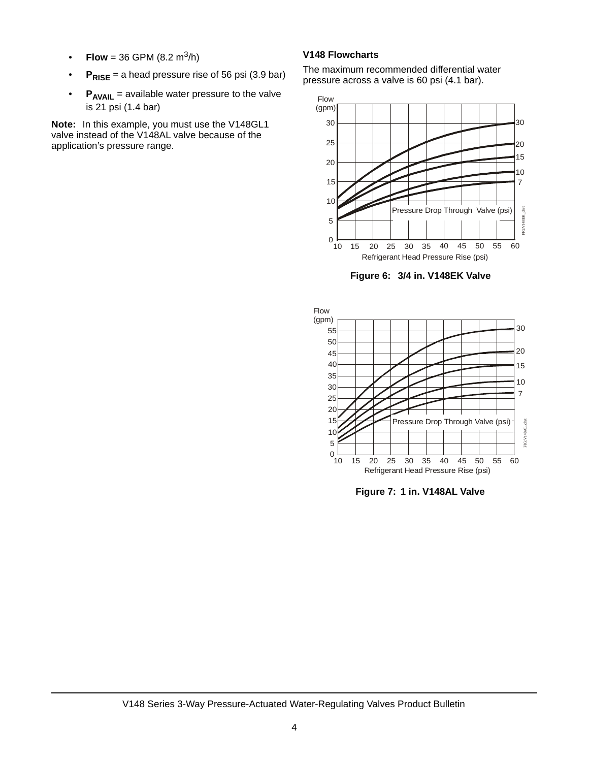- **Flow** = 36 GPM (8.2 m<sup>3</sup>/h)
- **P** $R$ **ISE** = a head pressure rise of 56 psi (3.9 bar)
- **P<sub>AVAIL</sub>** = available water pressure to the valve is 21 psi (1.4 bar)

**Note:** In this example, you must use the V148GL1 valve instead of the V148AL valve because of the application's pressure range.

#### **V148 Flowcharts**

The maximum recommended differential water pressure across a valve is 60 psi (4.1 bar).



**Figure 6: 3/4 in. V148EK Valve**

<span id="page-3-0"></span>

**Figure 7: 1 in. V148AL Valve**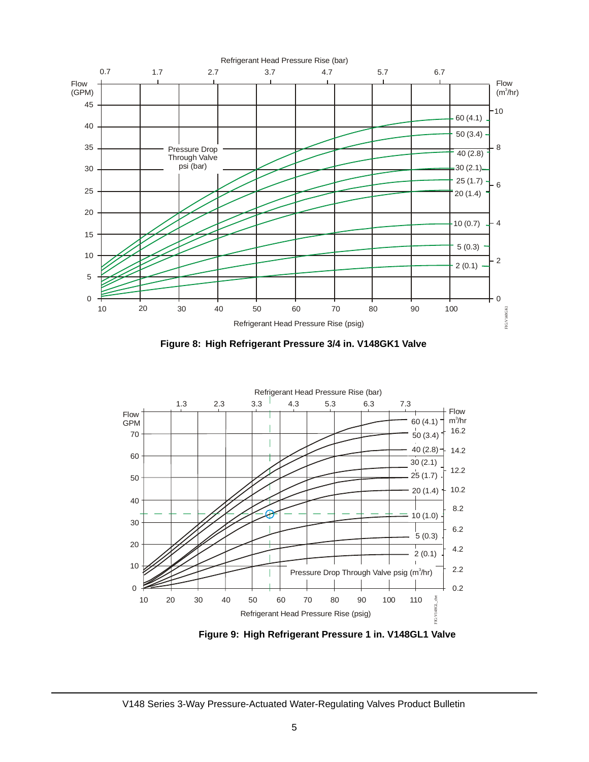

**Figure 8: High Refrigerant Pressure 3/4 in. V148GK1 Valve**



**Figure 9: High Refrigerant Pressure 1 in. V148GL1 Valve**

<span id="page-4-0"></span>V148 Series 3-Way Pressure-Actuated Water-Regulating Valves Product Bulletin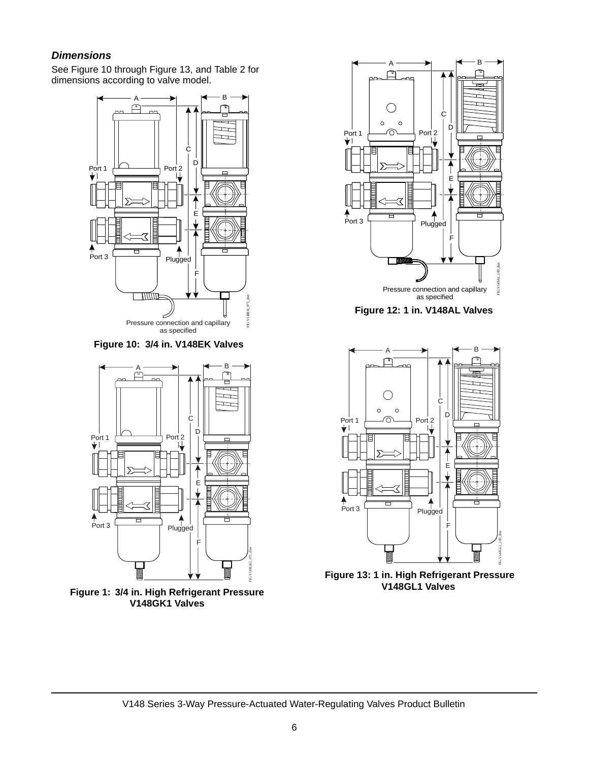## *Dimensions*

See [Figure 10](#page-5-0) through [Figure 13,](#page-5-1) and [Table 2](#page-6-0) for dimensions according to valve model.



<span id="page-5-0"></span>**Figure 10: 3/4 in. V148EK Valves**



**Figure 1: 3/4 in. High Refrigerant Pressure V148GK1 Valves**



**Figure 12: 1 in. V148AL Valves**



<span id="page-5-1"></span>**Figure 13: 1 in. High Refrigerant Pressure V148GL1 Valves**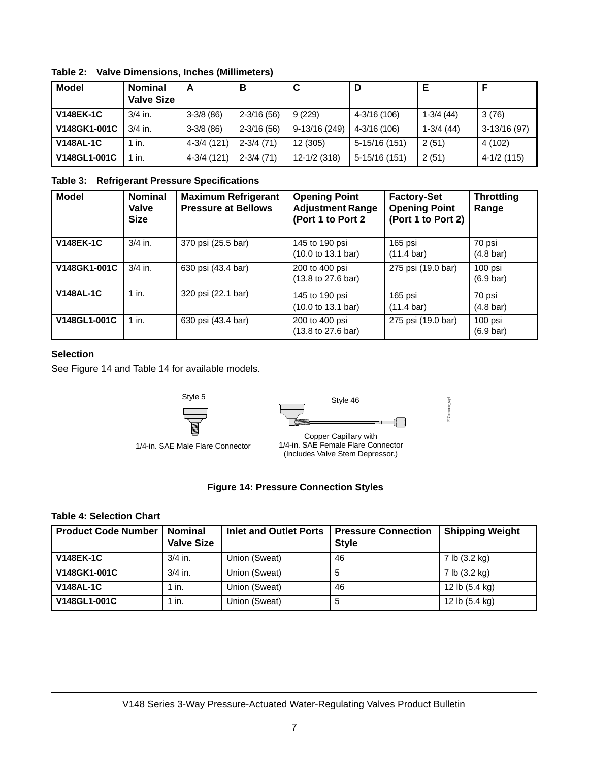| Model            | <b>Nominal</b><br><b>Valve Size</b> | A           | в              | C             | D              |             |               |
|------------------|-------------------------------------|-------------|----------------|---------------|----------------|-------------|---------------|
| <b>V148EK-1C</b> | $3/4$ in.                           | $3-3/8(86)$ | $2 - 3/16(56)$ | 9(229)        | 4-3/16 (106)   | $1-3/4(44)$ | 3(76)         |
| V148GK1-001C     | $3/4$ in.                           | $3-3/8(86)$ | $2 - 3/16(56)$ | 9-13/16 (249) | 4-3/16 (106)   | $1-3/4(44)$ | $3-13/16(97)$ |
| <b>V148AL-1C</b> | 1 in.                               | 4-3/4 (121) | $2 - 3/4$ (71) | 12 (305)      | 5-15/16 (151)  | 2(51)       | 4 (102)       |
| V148GL1-001C     | in.                                 | 4-3/4 (121) | $2 - 3/4$ (71) | 12-1/2 (318)  | $5-15/16(151)$ | 2(51)       | $4-1/2(115)$  |

<span id="page-6-0"></span>**Table 2: Valve Dimensions, Inches (Millimeters)**

#### **Table 3: Refrigerant Pressure Specifications**

| <b>Model</b>     | <b>Nominal</b><br><b>Valve</b><br><b>Size</b> | <b>Maximum Refrigerant</b><br><b>Pressure at Bellows</b> | <b>Opening Point</b><br><b>Adjustment Range</b><br>(Port 1 to Port 2 | <b>Factory-Set</b><br><b>Opening Point</b><br>(Port 1 to Port 2) | <b>Throttling</b><br>Range     |
|------------------|-----------------------------------------------|----------------------------------------------------------|----------------------------------------------------------------------|------------------------------------------------------------------|--------------------------------|
| <b>V148EK-1C</b> | $3/4$ in.                                     | 370 psi (25.5 bar)                                       | 145 to 190 psi<br>$(10.0 \text{ to } 13.1 \text{ bar})$              | 165 psi<br>$(11.4 \text{ bar})$                                  | 70 psi<br>$(4.8 \text{ bar})$  |
| V148GK1-001C     | $3/4$ in.                                     | 630 psi (43.4 bar)                                       | 200 to 400 psi<br>$(13.8 \text{ to } 27.6 \text{ bar})$              | 275 psi (19.0 bar)                                               | 100 psi<br>$(6.9 \text{ bar})$ |
| <b>V148AL-1C</b> | $1$ in.                                       | 320 psi (22.1 bar)                                       | 145 to 190 psi<br>$(10.0 \text{ to } 13.1 \text{ bar})$              | 165 psi<br>$(11.4 \text{ bar})$                                  | 70 psi<br>$(4.8 \text{ bar})$  |
| V148GL1-001C     | $1$ in.                                       | 630 psi (43.4 bar)                                       | 200 to 400 psi<br>(13.8 to 27.6 bar)                                 | 275 psi (19.0 bar)                                               | 100 psi<br>$(6.9 \text{ bar})$ |

## **Selection**

See Figure 14 and [Table 14](#page-6-1) for available models.

Style 5



FIG:cmctr\_styl FIG:cnnctr\_styl

1/4-in. SAE Male Flare Connector

Copper Capillary with 1/4-in. SAE Female Flare Connector (Includes Valve Stem Depressor.)

#### **Figure 14: Pressure Connection Styles**

#### <span id="page-6-1"></span>**Table 4: Selection Chart**

| <b>Product Code Number</b> | <b>Nominal</b><br><b>Valve Size</b> | Inlet and Outlet Ports | <b>Pressure Connection</b><br><b>Style</b> | <b>Shipping Weight</b> |
|----------------------------|-------------------------------------|------------------------|--------------------------------------------|------------------------|
| <b>V148EK-1C</b>           | $3/4$ in.                           | Union (Sweat)          | 46                                         | 7 lb (3.2 kg)          |
| V148GK1-001C               | $3/4$ in.                           | Union (Sweat)          | 5                                          | 7 lb (3.2 kg)          |
| <b>V148AL-1C</b>           | 1 in.                               | Union (Sweat)          | 46                                         | 12 lb (5.4 kg)         |
| V148GL1-001C               | 1 in.                               | Union (Sweat)          | 5                                          | 12 lb (5.4 kg)         |